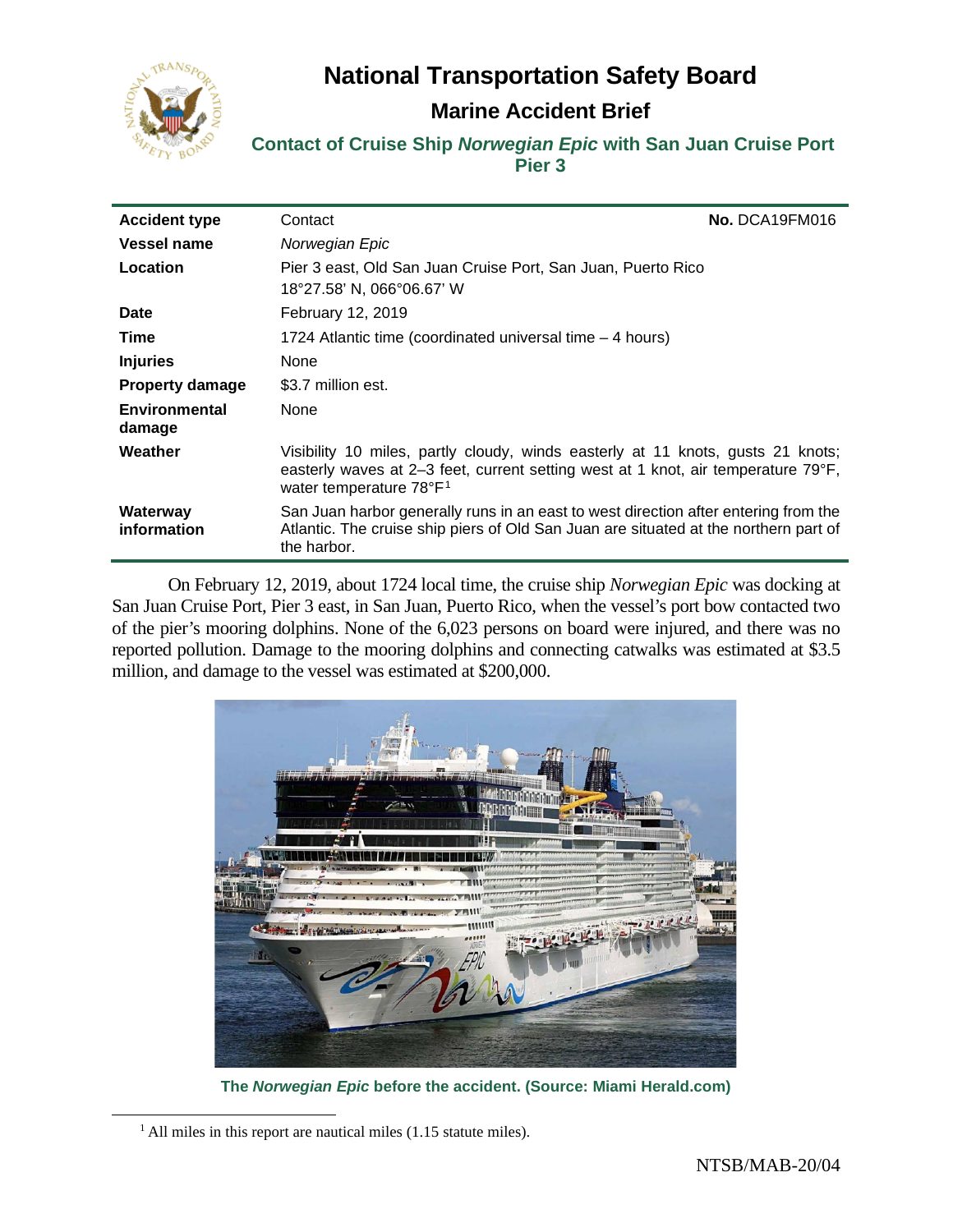**National Transportation Safety Board**



# **Marine Accident Brief**

**Contact of Cruise Ship** *Norwegian Epic* **with San Juan Cruise Port Pier 3**

| <b>Accident type</b>    | Contact                                                                                                                                                                                                     | No. DCA19FM016 |
|-------------------------|-------------------------------------------------------------------------------------------------------------------------------------------------------------------------------------------------------------|----------------|
| <b>Vessel name</b>      | Norwegian Epic                                                                                                                                                                                              |                |
| Location                | Pier 3 east, Old San Juan Cruise Port, San Juan, Puerto Rico<br>18°27.58' N, 066°06.67' W                                                                                                                   |                |
| <b>Date</b>             | February 12, 2019                                                                                                                                                                                           |                |
| Time                    | 1724 Atlantic time (coordinated universal time $-4$ hours)                                                                                                                                                  |                |
| <b>Injuries</b>         | None                                                                                                                                                                                                        |                |
| <b>Property damage</b>  | \$3.7 million est.                                                                                                                                                                                          |                |
| Environmental<br>damage | None                                                                                                                                                                                                        |                |
| Weather                 | Visibility 10 miles, partly cloudy, winds easterly at 11 knots, gusts 21 knots;<br>easterly waves at 2–3 feet, current setting west at 1 knot, air temperature 79°F,<br>water temperature 78°F <sup>1</sup> |                |
| Waterway<br>information | San Juan harbor generally runs in an east to west direction after entering from the<br>Atlantic. The cruise ship piers of Old San Juan are situated at the northern part of<br>the harbor.                  |                |

On February 12, 2019, about 1724 local time, the cruise ship *Norwegian Epic* was docking at San Juan Cruise Port, Pier 3 east, in San Juan, Puerto Rico, when the vessel's port bow contacted two of the pier's mooring dolphins. None of the 6,023 persons on board were injured, and there was no reported pollution. Damage to the mooring dolphins and connecting catwalks was estimated at \$3.5 million, and damage to the vessel was estimated at \$200,000.



**The** *Norwegian Epic* **before the accident. (Source: Miami Herald.com)**

<span id="page-0-0"></span> $<sup>1</sup>$  All miles in this report are nautical miles (1.15 statute miles).</sup>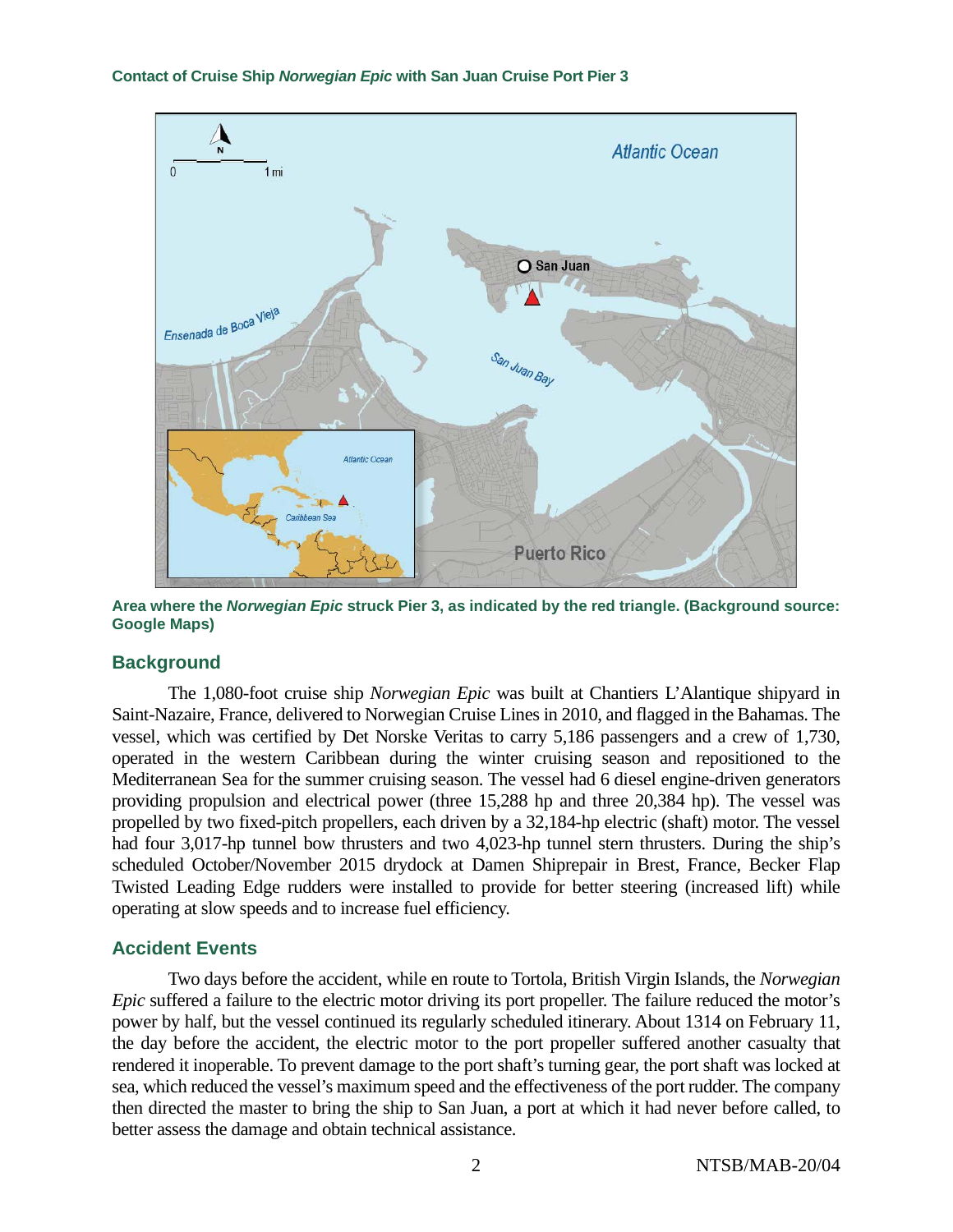

**Area where the** *Norwegian Epic* **struck Pier 3, as indicated by the red triangle. (Background source: Google Maps)**

# **Background**

The 1,080-foot cruise ship *Norwegian Epic* was built at Chantiers L'Alantique shipyard in Saint-Nazaire, France, delivered to Norwegian Cruise Lines in 2010, and flagged in the Bahamas. The vessel, which was certified by Det Norske Veritas to carry 5,186 passengers and a crew of 1,730, operated in the western Caribbean during the winter cruising season and repositioned to the Mediterranean Sea for the summer cruising season. The vessel had 6 diesel engine-driven generators providing propulsion and electrical power (three 15,288 hp and three 20,384 hp). The vessel was propelled by two fixed-pitch propellers, each driven by a 32,184-hp electric (shaft) motor. The vessel had four 3,017-hp tunnel bow thrusters and two 4,023-hp tunnel stern thrusters. During the ship's scheduled October/November 2015 drydock at Damen Shiprepair in Brest, France, Becker Flap Twisted Leading Edge rudders were installed to provide for better steering (increased lift) while operating at slow speeds and to increase fuel efficiency.

# **Accident Events**

Two days before the accident, while en route to Tortola, British Virgin Islands, the *Norwegian Epic* suffered a failure to the electric motor driving its port propeller. The failure reduced the motor's power by half, but the vessel continued its regularly scheduled itinerary. About 1314 on February 11, the day before the accident, the electric motor to the port propeller suffered another casualty that rendered it inoperable. To prevent damage to the port shaft's turning gear, the port shaft was locked at sea, which reduced the vessel's maximum speed and the effectiveness of the port rudder. The company then directed the master to bring the ship to San Juan, a port at which it had never before called, to better assess the damage and obtain technical assistance.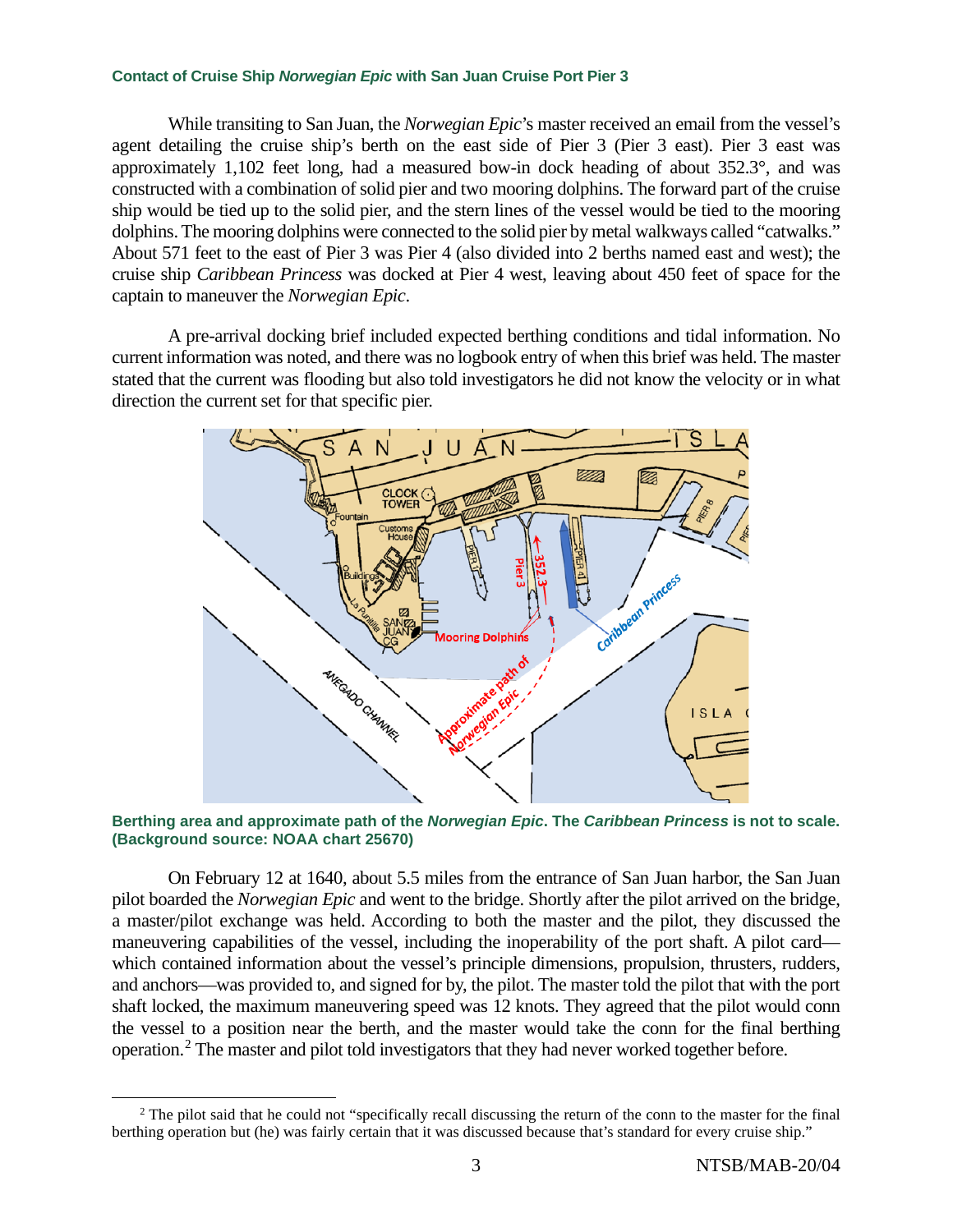While transiting to San Juan, the *Norwegian Epic*'s master received an email from the vessel's agent detailing the cruise ship's berth on the east side of Pier 3 (Pier 3 east). Pier 3 east was approximately 1,102 feet long, had a measured bow-in dock heading of about 352.3°, and was constructed with a combination of solid pier and two mooring dolphins. The forward part of the cruise ship would be tied up to the solid pier, and the stern lines of the vessel would be tied to the mooring dolphins. The mooring dolphins were connected to the solid pier by metal walkways called "catwalks." About 571 feet to the east of Pier 3 was Pier 4 (also divided into 2 berths named east and west); the cruise ship *Caribbean Princess* was docked at Pier 4 west, leaving about 450 feet of space for the captain to maneuver the *Norwegian Epic*.

A pre-arrival docking brief included expected berthing conditions and tidal information. No current information was noted, and there was no logbook entry of when this brief was held. The master stated that the current was flooding but also told investigators he did not know the velocity or in what direction the current set for that specific pier.



**Berthing area and approximate path of the** *Norwegian Epic***. The** *Caribbean Princess* **is not to scale. (Background source: NOAA chart 25670)**

On February 12 at 1640, about 5.5 miles from the entrance of San Juan harbor, the San Juan pilot boarded the *Norwegian Epic* and went to the bridge. Shortly after the pilot arrived on the bridge, a master/pilot exchange was held. According to both the master and the pilot, they discussed the maneuvering capabilities of the vessel, including the inoperability of the port shaft. A pilot card which contained information about the vessel's principle dimensions, propulsion, thrusters, rudders, and anchors—was provided to, and signed for by, the pilot. The master told the pilot that with the port shaft locked, the maximum maneuvering speed was 12 knots. They agreed that the pilot would conn the vessel to a position near the berth, and the master would take the conn for the final berthing operation.[2](#page-2-0) The master and pilot told investigators that they had never worked together before.

<span id="page-2-0"></span> $2$  The pilot said that he could not "specifically recall discussing the return of the conn to the master for the final berthing operation but (he) was fairly certain that it was discussed because that's standard for every cruise ship."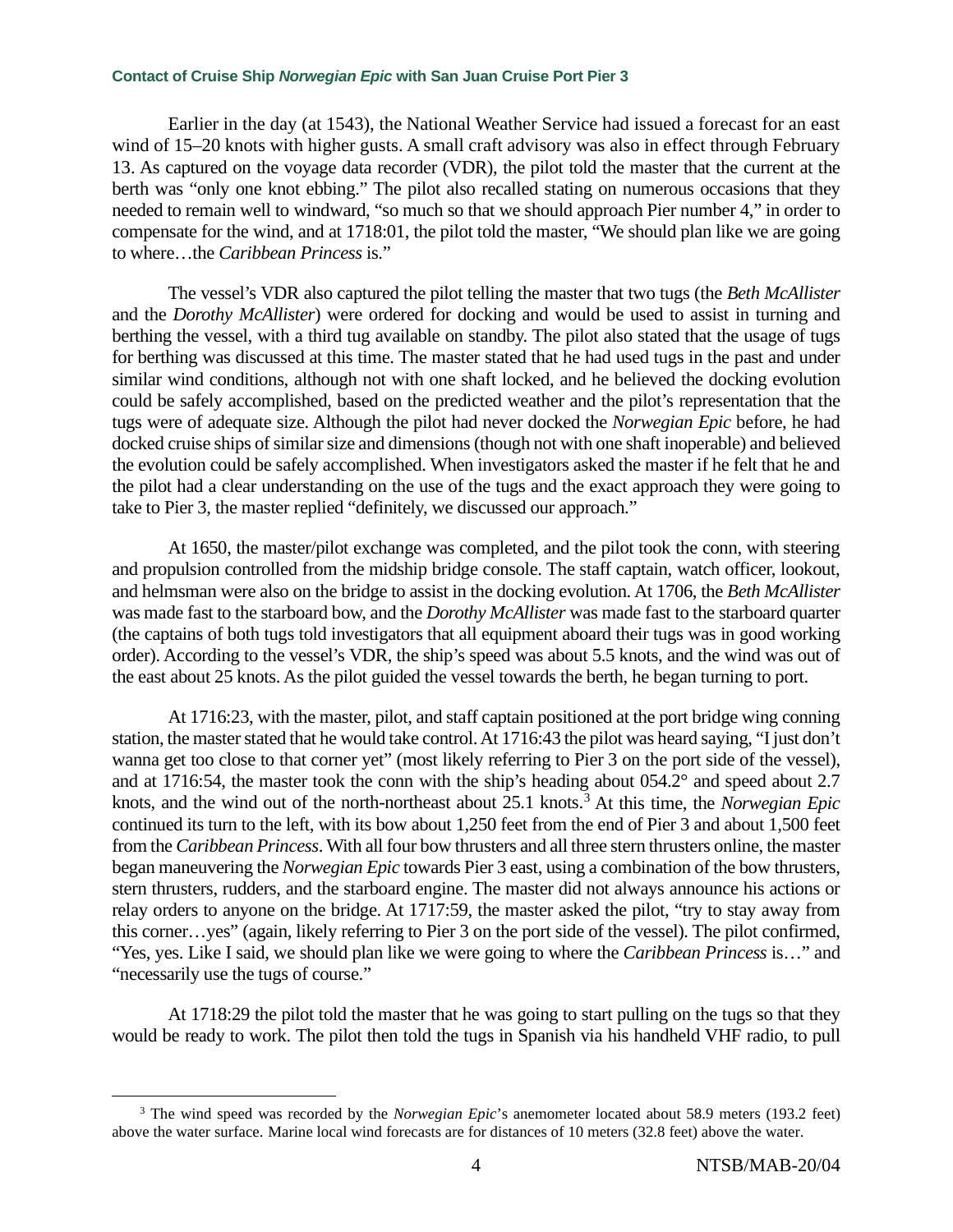Earlier in the day (at 1543), the National Weather Service had issued a forecast for an east wind of 15–20 knots with higher gusts. A small craft advisory was also in effect through February 13. As captured on the voyage data recorder (VDR), the pilot told the master that the current at the berth was "only one knot ebbing." The pilot also recalled stating on numerous occasions that they needed to remain well to windward, "so much so that we should approach Pier number 4," in order to compensate for the wind, and at 1718:01, the pilot told the master, "We should plan like we are going to where…the *Caribbean Princess* is."

The vessel's VDR also captured the pilot telling the master that two tugs (the *Beth McAllister*  and the *Dorothy McAllister*) were ordered for docking and would be used to assist in turning and berthing the vessel, with a third tug available on standby. The pilot also stated that the usage of tugs for berthing was discussed at this time. The master stated that he had used tugs in the past and under similar wind conditions, although not with one shaft locked, and he believed the docking evolution could be safely accomplished, based on the predicted weather and the pilot's representation that the tugs were of adequate size. Although the pilot had never docked the *Norwegian Epic* before, he had docked cruise ships of similar size and dimensions (though not with one shaft inoperable) and believed the evolution could be safely accomplished. When investigators asked the master if he felt that he and the pilot had a clear understanding on the use of the tugs and the exact approach they were going to take to Pier 3, the master replied "definitely, we discussed our approach."

At 1650, the master/pilot exchange was completed, and the pilot took the conn, with steering and propulsion controlled from the midship bridge console. The staff captain, watch officer, lookout, and helmsman were also on the bridge to assist in the docking evolution. At 1706, the *Beth McAllister* was made fast to the starboard bow, and the *Dorothy McAllister* was made fast to the starboard quarter (the captains of both tugs told investigators that all equipment aboard their tugs was in good working order). According to the vessel's VDR, the ship's speed was about 5.5 knots, and the wind was out of the east about 25 knots. As the pilot guided the vessel towards the berth, he began turning to port.

At 1716:23, with the master, pilot, and staff captain positioned at the port bridge wing conning station, the master stated that he would take control.At 1716:43 the pilot was heard saying, "I just don't wanna get too close to that corner yet" (most likely referring to Pier 3 on the port side of the vessel), and at 1716:54, the master took the conn with the ship's heading about 054.2° and speed about 2.7 knots, and the wind out of the north-northeast about 25.1 knots. [3](#page-3-0) At this time, the *Norwegian Epic* continued its turn to the left, with its bow about 1,250 feet from the end of Pier 3 and about 1,500 feet from the *Caribbean Princess*. With all four bow thrusters and all three stern thrusters online, the master began maneuvering the *Norwegian Epic* towards Pier 3 east, using a combination of the bow thrusters, stern thrusters, rudders, and the starboard engine. The master did not always announce his actions or relay orders to anyone on the bridge. At 1717:59, the master asked the pilot, "try to stay away from this corner…yes" (again, likely referring to Pier 3 on the port side of the vessel). The pilot confirmed, "Yes, yes. Like I said, we should plan like we were going to where the *Caribbean Princess* is…" and "necessarily use the tugs of course."

At 1718:29 the pilot told the master that he was going to start pulling on the tugs so that they would be ready to work. The pilot then told the tugs in Spanish via his handheld VHF radio, to pull

<span id="page-3-0"></span><sup>3</sup> The wind speed was recorded by the *Norwegian Epic*'s anemometer located about 58.9 meters (193.2 feet) above the water surface. Marine local wind forecasts are for distances of 10 meters (32.8 feet) above the water.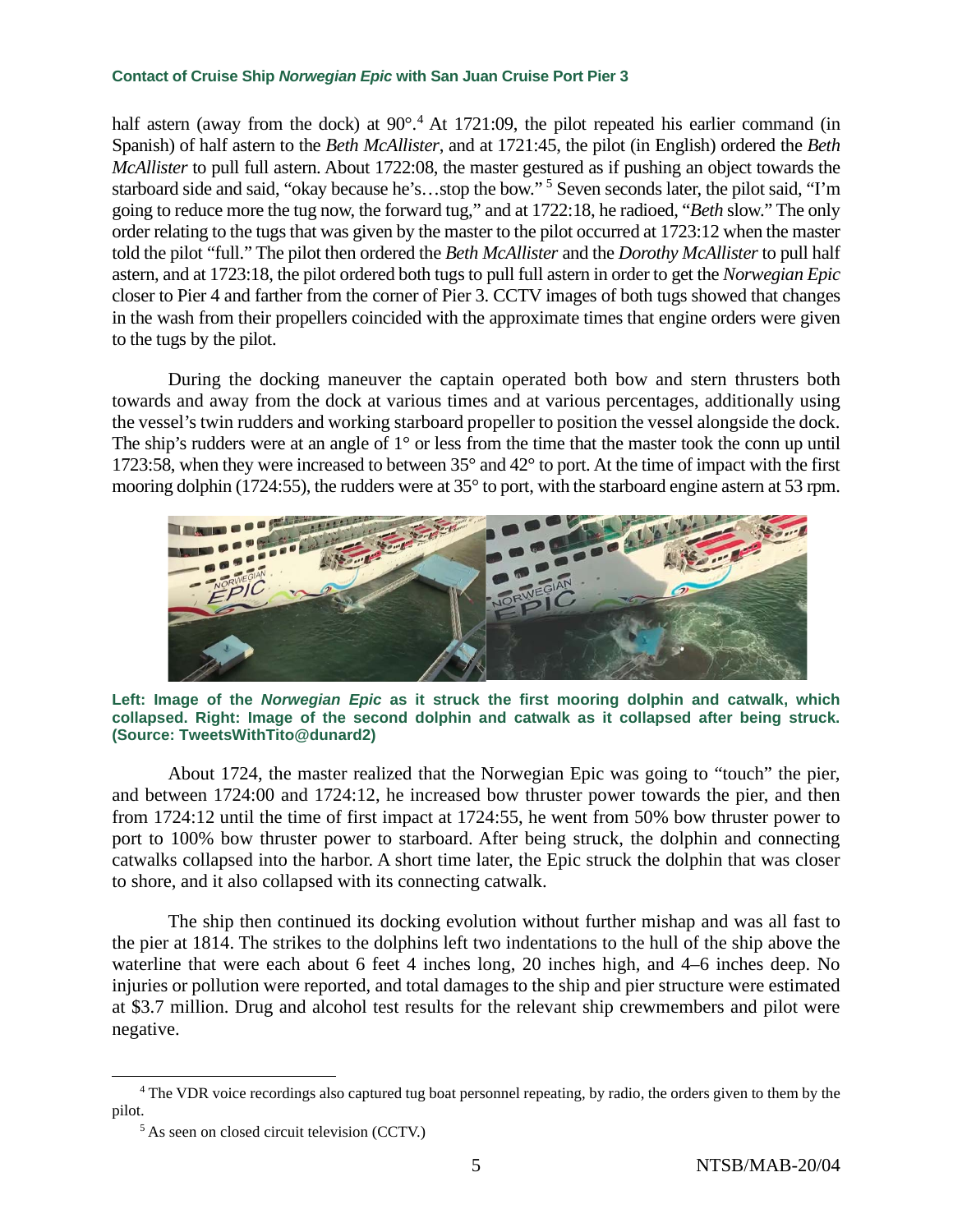half astern (away from the dock) at 90°.<sup>[4](#page-4-0)</sup> At 1721:09, the pilot repeated his earlier command (in Spanish) of half astern to the *Beth McAllister*, and at 1721:45, the pilot (in English) ordered the *Beth McAllister* to pull full astern. About 1722:08, the master gestured as if pushing an object towards the starboard side and said, "okay because he's…stop the bow." [5](#page-4-1) Seven seconds later, the pilot said, "I'm going to reduce more the tug now, the forward tug," and at 1722:18, he radioed, "*Beth* slow." The only order relating to the tugs that was given by the master to the pilot occurred at 1723:12 when the master told the pilot "full." The pilot then ordered the *Beth McAllister* and the *Dorothy McAllister* to pull half astern, and at 1723:18, the pilot ordered both tugs to pull full astern in order to get the *Norwegian Epic*  closer to Pier 4 and farther from the corner of Pier 3. CCTV images of both tugs showed that changes in the wash from their propellers coincided with the approximate times that engine orders were given to the tugs by the pilot.

During the docking maneuver the captain operated both bow and stern thrusters both towards and away from the dock at various times and at various percentages, additionally using the vessel's twin rudders and working starboard propeller to position the vessel alongside the dock. The ship's rudders were at an angle of 1° or less from the time that the master took the conn up until 1723:58, when they were increased to between 35° and 42° to port. At the time of impact with the first mooring dolphin (1724:55), the rudders were at 35° to port, with the starboard engine astern at 53 rpm.



**Left: Image of the** *Norwegian Epic* **as it struck the first mooring dolphin and catwalk, which collapsed. Right: Image of the second dolphin and catwalk as it collapsed after being struck. (Source: TweetsWithTito@dunard2)**

About 1724, the master realized that the Norwegian Epic was going to "touch" the pier, and between 1724:00 and 1724:12, he increased bow thruster power towards the pier, and then from 1724:12 until the time of first impact at 1724:55, he went from 50% bow thruster power to port to 100% bow thruster power to starboard. After being struck, the dolphin and connecting catwalks collapsed into the harbor. A short time later, the Epic struck the dolphin that was closer to shore, and it also collapsed with its connecting catwalk.

The ship then continued its docking evolution without further mishap and was all fast to the pier at 1814. The strikes to the dolphins left two indentations to the hull of the ship above the waterline that were each about 6 feet 4 inches long, 20 inches high, and 4–6 inches deep. No injuries or pollution were reported, and total damages to the ship and pier structure were estimated at \$3.7 million. Drug and alcohol test results for the relevant ship crewmembers and pilot were negative.

<span id="page-4-1"></span><span id="page-4-0"></span><sup>&</sup>lt;sup>4</sup> The VDR voice recordings also captured tug boat personnel repeating, by radio, the orders given to them by the pilot.

<sup>5</sup> As seen on closed circuit television (CCTV.)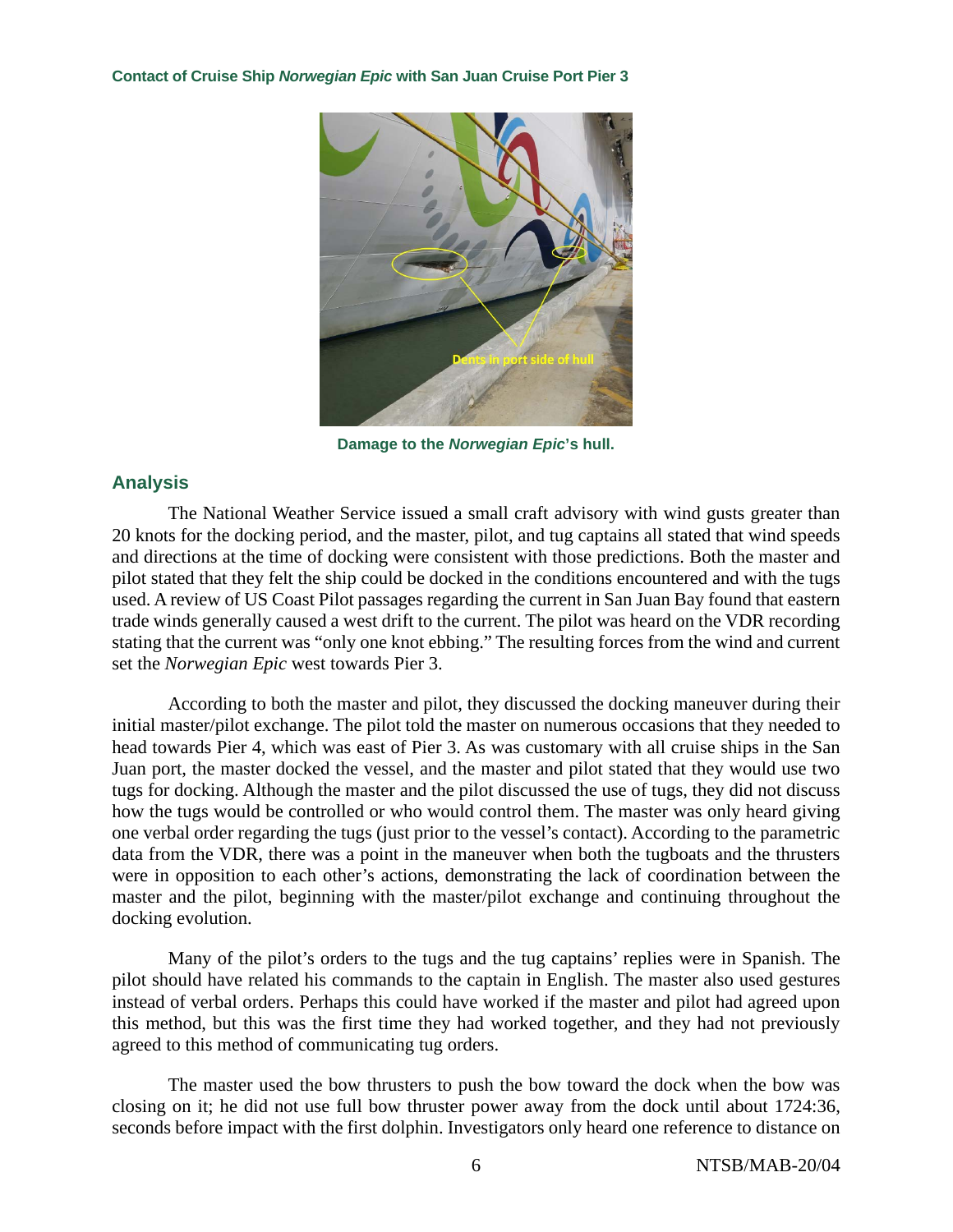

**Damage to the** *Norwegian Epic***'s hull.**

## **Analysis**

The National Weather Service issued a small craft advisory with wind gusts greater than 20 knots for the docking period, and the master, pilot, and tug captains all stated that wind speeds and directions at the time of docking were consistent with those predictions. Both the master and pilot stated that they felt the ship could be docked in the conditions encountered and with the tugs used. A review of US Coast Pilot passages regarding the current in San Juan Bay found that eastern trade winds generally caused a west drift to the current. The pilot was heard on the VDR recording stating that the current was "only one knot ebbing." The resulting forces from the wind and current set the *Norwegian Epic* west towards Pier 3.

According to both the master and pilot, they discussed the docking maneuver during their initial master/pilot exchange. The pilot told the master on numerous occasions that they needed to head towards Pier 4, which was east of Pier 3. As was customary with all cruise ships in the San Juan port, the master docked the vessel, and the master and pilot stated that they would use two tugs for docking. Although the master and the pilot discussed the use of tugs, they did not discuss how the tugs would be controlled or who would control them. The master was only heard giving one verbal order regarding the tugs (just prior to the vessel's contact). According to the parametric data from the VDR, there was a point in the maneuver when both the tugboats and the thrusters were in opposition to each other's actions, demonstrating the lack of coordination between the master and the pilot, beginning with the master/pilot exchange and continuing throughout the docking evolution.

Many of the pilot's orders to the tugs and the tug captains' replies were in Spanish. The pilot should have related his commands to the captain in English. The master also used gestures instead of verbal orders. Perhaps this could have worked if the master and pilot had agreed upon this method, but this was the first time they had worked together, and they had not previously agreed to this method of communicating tug orders.

The master used the bow thrusters to push the bow toward the dock when the bow was closing on it; he did not use full bow thruster power away from the dock until about 1724:36, seconds before impact with the first dolphin. Investigators only heard one reference to distance on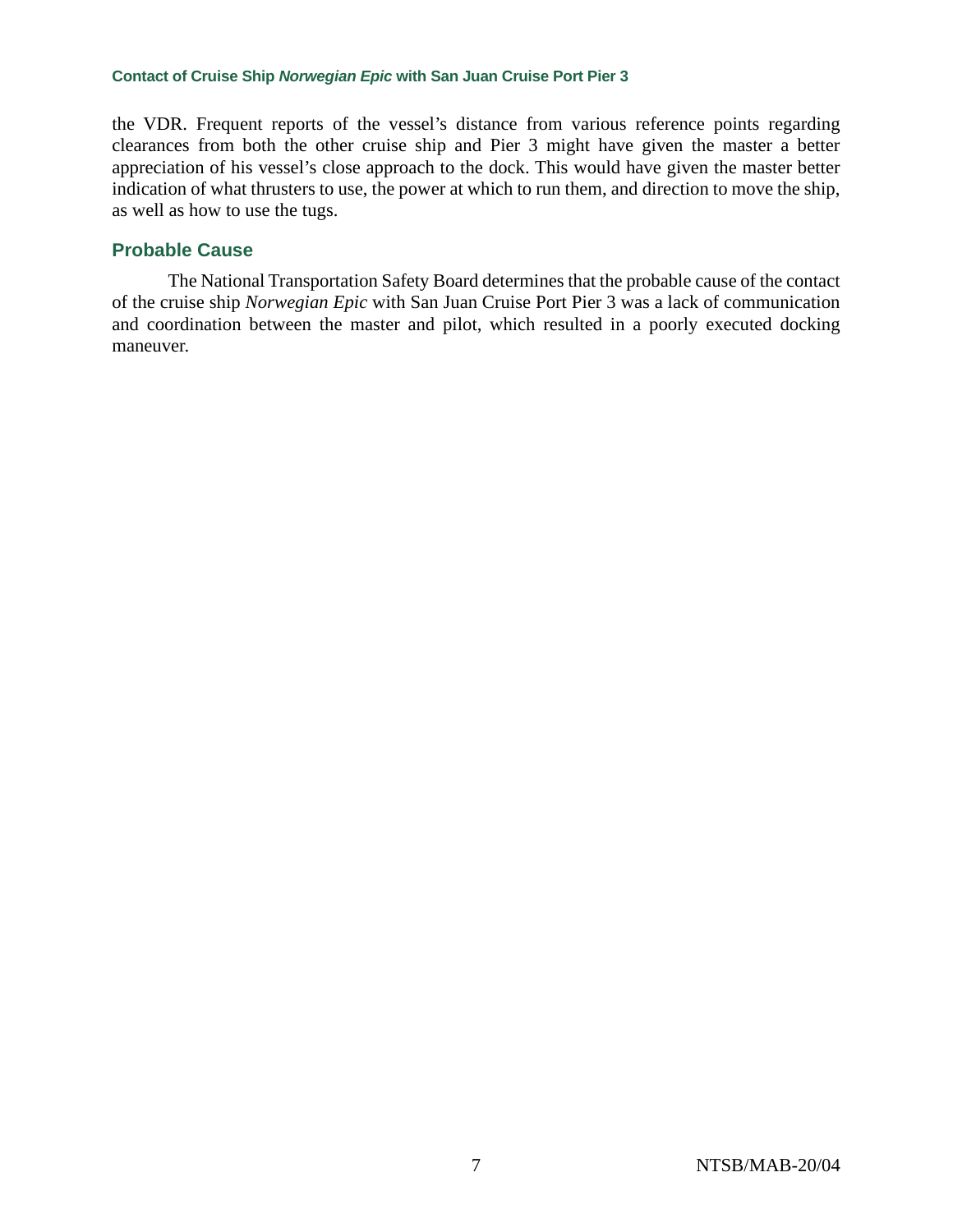the VDR. Frequent reports of the vessel's distance from various reference points regarding clearances from both the other cruise ship and Pier 3 might have given the master a better appreciation of his vessel's close approach to the dock. This would have given the master better indication of what thrusters to use, the power at which to run them, and direction to move the ship, as well as how to use the tugs.

### **Probable Cause**

The National Transportation Safety Board determines that the probable cause of the contact of the cruise ship *Norwegian Epic* with San Juan Cruise Port Pier 3 was a lack of communication and coordination between the master and pilot, which resulted in a poorly executed docking maneuver.